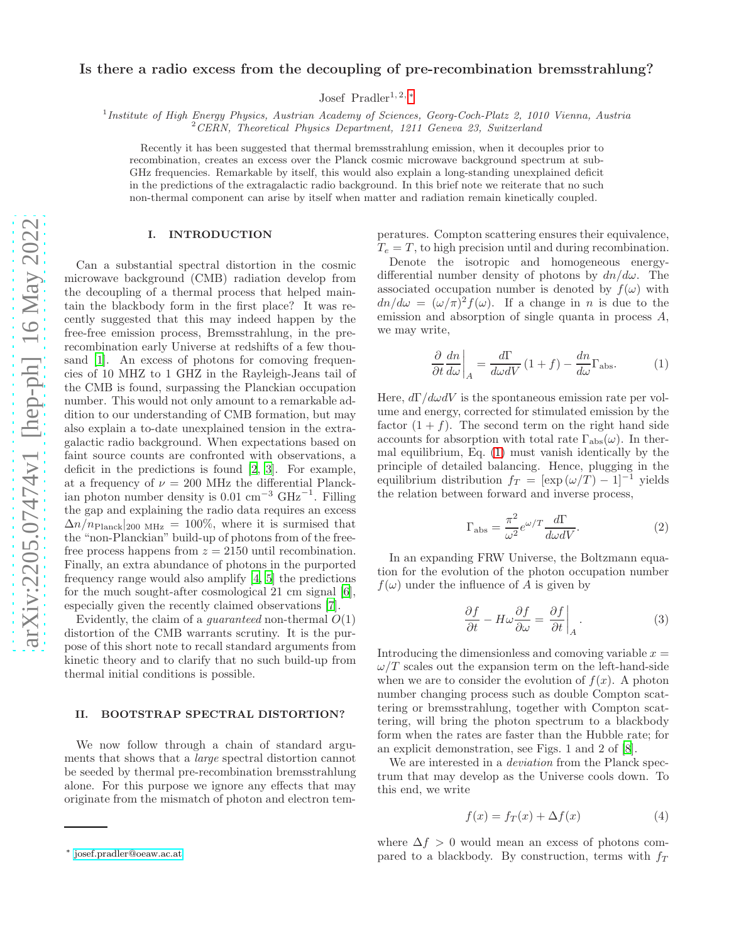## Is there a radio excess from the decoupling of pre-recombination bremsstrahlung?

Josef Pradler<sup>1, 2, [∗](#page-0-0)</sup>

<sup>1</sup> Institute of High Energy Physics, Austrian Academy of Sciences, Georg-Coch-Platz 2, 1010 Vienna, Austria

 $2$  CERN, Theoretical Physics Department, 1211 Geneva 23, Switzerland

Recently it has been suggested that thermal bremsstrahlung emission, when it decouples prior to recombination, creates an excess over the Planck cosmic microwave background spectrum at sub-GHz frequencies. Remarkable by itself, this would also explain a long-standing unexplained deficit in the predictions of the extragalactic radio background. In this brief note we reiterate that no such non-thermal component can arise by itself when matter and radiation remain kinetically coupled.

## I. INTRODUCTION

Can a substantial spectral distortion in the cosmic microwave background (CMB) radiation develop from the decoupling of a thermal process that helped maintain the blackbody form in the first place? It was recently suggested that this may indeed happen by the free-free emission process, Bremsstrahlung, in the prerecombination early Universe at redshifts of a few thou-sand [\[1\]](#page-1-0). An excess of photons for comoving frequencies of 10 MHZ to 1 GHZ in the Rayleigh-Jeans tail of the CMB is found, surpassing the Planckian occupation number. This would not only amount to a remarkable addition to our understanding of CMB formation, but may also explain a to-date unexplained tension in the extragalactic radio background. When expectations based on faint source counts are confronted with observations, a deficit in the predictions is found [\[2](#page-1-1), [3](#page-1-2)]. For example, at a frequency of  $\nu = 200$  MHz the differential Planck- $\mu$  is  $\mu$  and  $\mu$  and  $\mu$  is  $\mu$  of  $\mu$  and  $\mu$  and  $\mu$  and  $\mu$  and  $\mu$  and  $\mu$  and  $\mu$  and  $\mu$  and  $\mu$  and  $\mu$  and  $\mu$  and  $\mu$  and  $\mu$  and  $\mu$  and  $\mu$  and  $\mu$  and  $\mu$  and  $\mu$  and  $\mu$  and  $\mu$  and the gap and explaining the radio data requires an excess  $\Delta n/n_{\text{Planck}}|_{200 \text{ MHz}} = 100\%$ , where it is surmised that the "non-Planckian" build-up of photons from of the freefree process happens from  $z = 2150$  until recombination. Finally, an extra abundance of photons in the purported frequency range would also amplify [\[4,](#page-1-3) [5\]](#page-1-4) the predictions for the much sought-after cosmological 21 cm signal [\[6\]](#page-1-5), especially given the recently claimed observations [\[7\]](#page-1-6).

Evidently, the claim of a *guaranteed* non-thermal  $O(1)$ distortion of the CMB warrants scrutiny. It is the purpose of this short note to recall standard arguments from kinetic theory and to clarify that no such build-up from thermal initial conditions is possible.

## II. BOOTSTRAP SPECTRAL DISTORTION?

We now follow through a chain of standard arguments that shows that a large spectral distortion cannot be seeded by thermal pre-recombination bremsstrahlung alone. For this purpose we ignore any effects that may originate from the mismatch of photon and electron temperatures. Compton scattering ensures their equivalence,  $T_e = T$ , to high precision until and during recombination.

Denote the isotropic and homogeneous energydifferential number density of photons by  $dn/d\omega$ . The associated occupation number is denoted by  $f(\omega)$  with  $dn/d\omega = (\omega/\pi)^2 f(\omega)$ . If a change in n is due to the emission and absorption of single quanta in process A, we may write,

<span id="page-0-1"></span>
$$
\left. \frac{\partial}{\partial t} \frac{dn}{d\omega} \right|_A = \frac{d\Gamma}{d\omega dV} \left( 1 + f \right) - \frac{dn}{d\omega} \Gamma_{\text{abs}}.
$$
 (1)

Here,  $d\Gamma/d\omega dV$  is the spontaneous emission rate per volume and energy, corrected for stimulated emission by the factor  $(1 + f)$ . The second term on the right hand side accounts for absorption with total rate  $\Gamma_{\text{abs}}(\omega)$ . In thermal equilibrium, Eq. [\(1\)](#page-0-1) must vanish identically by the principle of detailed balancing. Hence, plugging in the equilibrium distribution  $f_T = [\exp(\omega/T) - 1]^{-1}$  yields the relation between forward and inverse process,

$$
\Gamma_{\rm abs} = \frac{\pi^2}{\omega^2} e^{\omega/T} \frac{d\Gamma}{d\omega dV}.
$$
\n(2)

In an expanding FRW Universe, the Boltzmann equation for the evolution of the photon occupation number  $f(\omega)$  under the influence of A is given by

<span id="page-0-2"></span>
$$
\frac{\partial f}{\partial t} - H\omega \frac{\partial f}{\partial \omega} = \frac{\partial f}{\partial t}\bigg|_{A}.
$$
 (3)

Introducing the dimensionless and comoving variable  $x =$  $\omega/T$  scales out the expansion term on the left-hand-side when we are to consider the evolution of  $f(x)$ . A photon number changing process such as double Compton scattering or bremsstrahlung, together with Compton scattering, will bring the photon spectrum to a blackbody form when the rates are faster than the Hubble rate; for an explicit demonstration, see Figs. 1 and 2 of [\[8](#page-1-7)].

We are interested in a *deviation* from the Planck spectrum that may develop as the Universe cools down. To this end, we write

$$
f(x) = f_T(x) + \Delta f(x) \tag{4}
$$

where  $\Delta f > 0$  would mean an excess of photons compared to a blackbody. By construction, terms with  $f_T$ 

<span id="page-0-0"></span><sup>∗</sup> [josef.pradler@oeaw.ac.at](mailto:josef.pradler@oeaw.ac.at)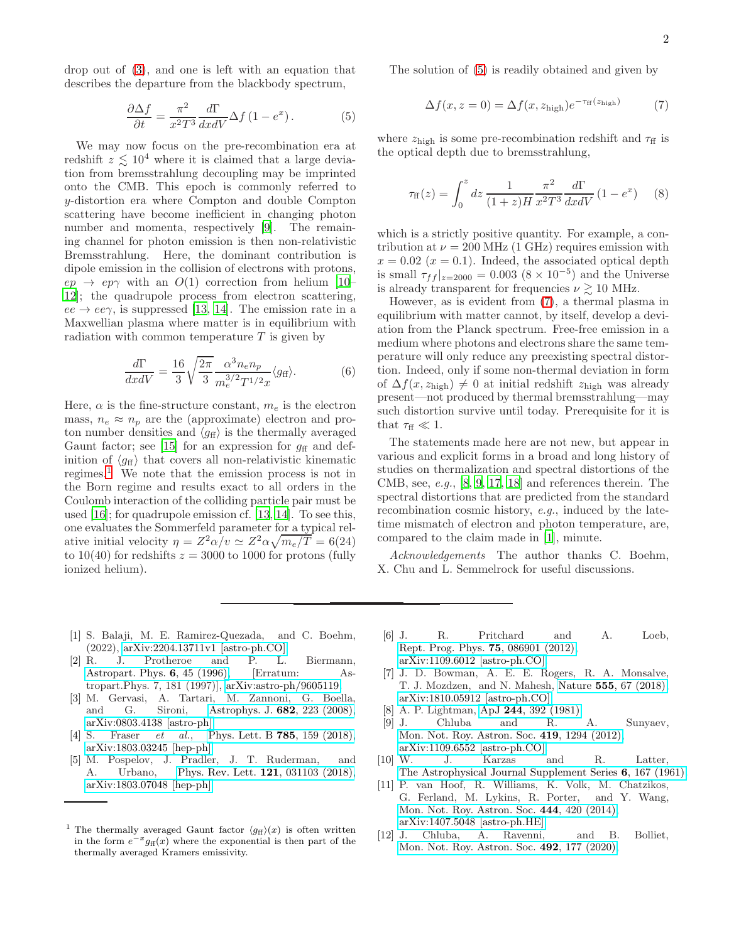drop out of [\(3\)](#page-0-2), and one is left with an equation that describes the departure from the blackbody spectrum,

$$
\frac{\partial \Delta f}{\partial t} = \frac{\pi^2}{x^2 T^3} \frac{d\Gamma}{dx dV} \Delta f (1 - e^x). \tag{5}
$$

We may now focus on the pre-recombination era at redshift  $z \lesssim 10^4$  where it is claimed that a large deviation from bremsstrahlung decoupling may be imprinted onto the CMB. This epoch is commonly referred to y-distortion era where Compton and double Compton scattering have become inefficient in changing photon number and momenta, respectively [\[9\]](#page-1-8). The remaining channel for photon emission is then non-relativistic Bremsstrahlung. Here, the dominant contribution is dipole emission in the collision of electrons with protons,  $ep \rightarrow ep\gamma$  with an  $O(1)$  correction from helium [\[10](#page-1-9)– [12\]](#page-1-10); the quadrupole process from electron scattering,  $ee \rightarrow ee\gamma$ , is suppressed [\[13,](#page-2-0) [14](#page-2-1)]. The emission rate in a Maxwellian plasma where matter is in equilibrium with radiation with common temperature  $T$  is given by

$$
\frac{d\Gamma}{dx dV} = \frac{16}{3} \sqrt{\frac{2\pi}{3}} \frac{\alpha^3 n_e n_p}{m_e^{3/2} T^{1/2} x} \langle g_{\text{ff}} \rangle. \tag{6}
$$

Here,  $\alpha$  is the fine-structure constant,  $m_e$  is the electron mass,  $n_e \approx n_p$  are the (approximate) electron and proton number densities and  $\langle q_{\rm ff} \rangle$  is the thermally averaged Gaunt factor; see [\[15](#page-2-2)] for an expression for  $g_{\rm ff}$  and definition of  $\langle g_{\text{ff}} \rangle$  that covers all non-relativistic kinematic regimes.<sup>[1](#page-1-11)</sup> We note that the emission process is not in the Born regime and results exact to all orders in the Coulomb interaction of the colliding particle pair must be used [\[16\]](#page-2-3); for quadrupole emission cf. [\[13,](#page-2-0) [14\]](#page-2-1). To see this, one evaluates the Sommerfeld parameter for a typical relative initial velocity  $\eta = Z^2 \alpha/v \simeq Z^2 \alpha \sqrt{m_e/T} = 6(24)$ to 10(40) for redshifts  $z = 3000$  to 1000 for protons (fully ionized helium).

The solution of [\(5\)](#page-1-12) is readily obtained and given by

<span id="page-1-13"></span>
$$
\Delta f(x, z = 0) = \Delta f(x, z_{\text{high}}) e^{-\tau_{\text{ff}}(z_{\text{high}})} \tag{7}
$$

<span id="page-1-12"></span>where  $z_{\text{high}}$  is some pre-recombination redshift and  $\tau_{\text{ff}}$  is the optical depth due to bremsstrahlung,

$$
\tau_{\rm ff}(z) = \int_0^z dz \, \frac{1}{(1+z)H} \frac{\pi^2}{x^2 T^3} \frac{d\Gamma}{dx dV} \left(1 - e^x\right) \tag{8}
$$

which is a strictly positive quantity. For example, a contribution at  $\nu = 200 \text{ MHz}$  (1 GHz) requires emission with  $x = 0.02$  ( $x = 0.1$ ). Indeed, the associated optical depth is small  $\tau_{ff}|_{z=2000} = 0.003 (8 \times 10^{-5})$  and the Universe is already transparent for frequencies  $\nu \gtrsim 10$  MHz.

However, as is evident from [\(7\)](#page-1-13), a thermal plasma in equilibrium with matter cannot, by itself, develop a deviation from the Planck spectrum. Free-free emission in a medium where photons and electrons share the same temperature will only reduce any preexisting spectral distortion. Indeed, only if some non-thermal deviation in form of  $\Delta f(x, z_{\text{high}}) \neq 0$  at initial redshift  $z_{\text{high}}$  was already present—not produced by thermal bremsstrahlung—may such distortion survive until today. Prerequisite for it is that  $\tau_{\rm ff} \ll 1$ .

The statements made here are not new, but appear in various and explicit forms in a broad and long history of studies on thermalization and spectral distortions of the CMB, see, e.g., [\[8,](#page-1-7) [9,](#page-1-8) [17,](#page-2-4) [18\]](#page-2-5) and references therein. The spectral distortions that are predicted from the standard recombination cosmic history, e.g., induced by the latetime mismatch of electron and photon temperature, are, compared to the claim made in [\[1](#page-1-0)], minute.

Acknowledgements The author thanks C. Boehm, X. Chu and L. Semmelrock for useful discussions.

- <span id="page-1-0"></span>[1] S. Balaji, M. E. Ramirez-Quezada, and C. Boehm, (2022), [arXiv:2204.13711v1 \[astro-ph.CO\].](http://arxiv.org/abs/2204.13711v1)<br>R. J. Protheroe and P. L.
- <span id="page-1-1"></span>[2] R. J. Protheroe and P. L. Biermann, [Astropart. Phys.](http://dx.doi.org/10.1016/S0927-6505(96)00041-2) 6, 45 (1996), [Erratum: Astropart.Phys. 7, 181 (1997)], [arXiv:astro-ph/9605119.](http://arxiv.org/abs/astro-ph/9605119)
- <span id="page-1-2"></span>[3] M. Gervasi, A. Tartari, M. Zannoni, G. Boella, and G. Sironi, [Astrophys. J.](http://dx.doi.org/10.1086/588628) 682, 223 (2008),
- <span id="page-1-3"></span>[arXiv:0803.4138 \[astro-ph\].](http://arxiv.org/abs/0803.4138)<br>S. Fraser *et al.*, P. [4] S. Fraser *et al.*, [Phys. Lett. B](http://dx.doi.org/10.1016/j.physletb.2018.08.035) **785**, 159 (2018), [arXiv:1803.03245 \[hep-ph\].](http://arxiv.org/abs/1803.03245)
- <span id="page-1-4"></span>[5] M. Pospelov, J. Pradler, J. T. Ruderman, and A. Urbano, [Phys. Rev. Lett.](http://dx.doi.org/10.1103/PhysRevLett.121.031103) 121, 031103 (2018), [arXiv:1803.07048 \[hep-ph\].](http://arxiv.org/abs/1803.07048)
- <span id="page-1-5"></span>[6] J. R. Pritchard and A. Loeb, [Rept. Prog. Phys.](http://dx.doi.org/10.1088/0034-4885/75/8/086901) 75, 086901 (2012), [arXiv:1109.6012 \[astro-ph.CO\].](http://arxiv.org/abs/1109.6012)
- <span id="page-1-6"></span>[7] J. D. Bowman, A. E. E. Rogers, R. A. Monsalve, T. J. Mozdzen, and N. Mahesh, Nature 555[, 67 \(2018\),](http://dx.doi.org/10.1038/nature25792) [arXiv:1810.05912 \[astro-ph.CO\].](http://arxiv.org/abs/1810.05912)
- <span id="page-1-7"></span>[8] A. P. Lightman, ApJ 244[, 392 \(1981\).](http://dx.doi.org/10.1086/158716)
- <span id="page-1-8"></span>[9] J. Chluba and R. A. Sunyaev, [Mon. Not. Roy. Astron. Soc.](http://dx.doi.org/10.1111/j.1365-2966.2011.19786.x) 419, 1294 (2012), [arXiv:1109.6552 \[astro-ph.CO\].](http://arxiv.org/abs/1109.6552)
- <span id="page-1-9"></span>[10] W. J. Karzas and R. Latter, [The Astrophysical Journal Supplement Series](http://dx.doi.org/10.1086/190063) 6, 167 (1961).
- [11] P. van Hoof, R. Williams, K. Volk, M. Chatzikos, G. Ferland, M. Lykins, R. Porter, and Y. Wang, [Mon. Not. Roy. Astron. Soc.](http://dx.doi.org/10.1093/mnras/stu1438) 444, 420 (2014), [arXiv:1407.5048 \[astro-ph.HE\].](http://arxiv.org/abs/1407.5048)
- <span id="page-1-10"></span>[12] J. Chluba, A. Ravenni, and B. Bolliet, [Mon. Not. Roy. Astron. Soc.](http://dx.doi.org/10.1093/mnras/stz3389) 492, 177 (2020),

<span id="page-1-11"></span><sup>&</sup>lt;sup>1</sup> The thermally averaged Gaunt factor  $\langle g_{\text{ff}} \rangle(x)$  is often written in the form  $e^{-x}g_{\text{ff}}(x)$  where the exponential is then part of the thermally averaged Kramers emissivity.